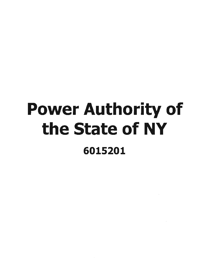## Power Authority of the State of NY 6015201

 $\mathcal{L}^{\text{max}}_{\text{max}}$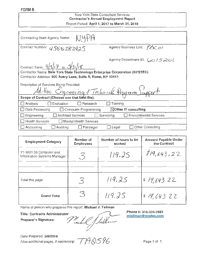## **FORM B**

## New York State Consultant Services Contractor's Annual Employment Report Report Period: April 1, 2017 to March 31, 2018

| Contracting State Agency Name: NY47A                                                                                                      |                                            |
|-------------------------------------------------------------------------------------------------------------------------------------------|--------------------------------------------|
| Contract Number: 4500283425                                                                                                               | Agency Business Unit: PACOI                |
| Contract Term: $\frac{4}{3}$ $\frac{7}{2}$ to $\frac{3}{3}$ $\frac{1}{8}$                                                                 | Agency Department ID: 6015201              |
| Contractor Name: New York State Technology Enterprise Corporation (NYSTEC)<br>Contractor Address: 500 Avery Lane, Suite A, Rome, NY 13441 |                                            |
| Description of Services Being Provided:<br>Ad-Hoc Engineering & Technical Program Support                                                 |                                            |
|                                                                                                                                           |                                            |
| Evaluation<br>$\Box$ Research<br>$\Box$ Analysis<br>$\perp$                                                                               | Training                                   |
| $\Box$ Computer Programming<br>Data Processing                                                                                            | ⊠Other IT consulting                       |
| <b>Architect Services</b><br>Engineering                                                                                                  | <b>Environmental Services</b><br>Surveying |
| $\Box$ Health Services<br>□ Mental Health Services                                                                                        |                                            |
| Auditing<br>Paralegal<br>$\Box$ Accounting<br>$\perp$                                                                                     | Other Consulting<br>Legal                  |

| <b>Employees</b>                      | worked | <b>Amount Payable Under</b><br>the Contract                 |
|---------------------------------------|--------|-------------------------------------------------------------|
| 3                                     | 119.25 | 1/9,643.22                                                  |
|                                       |        |                                                             |
| $\mathcal{Z}$                         | 119.25 | \$19,643.22                                                 |
| З                                     | 119.25 | \$19,643.22                                                 |
| <b>Title: Contracts Administrator</b> |        | Phone #: 315-334-7843<br>mtallman@nystec.com                |
|                                       |        | Name of person who prepared this report: Michael J. Tailman |

Preparer 's Signature'

mail Thelm meal

Date Prepared: 5/8/2018 (Use additional pages, if necessary)  $\mathcal{TAB}$   $\otimes$  596

Page 1 of 1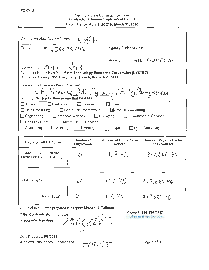## New York State Consultant Services Contractor's Annual Employment Report Report Period: April 1, 2017 to March 31, 2018

| Contracting State Agency Name:                                                                                                            |                                     |
|-------------------------------------------------------------------------------------------------------------------------------------------|-------------------------------------|
| Contract Number:<br>4500284846                                                                                                            | Agency Business Unit:               |
| Contract Term: $5/12/7$ to $5/11/18$                                                                                                      | Agency Department ID: 6015261       |
| Contractor Name: New York State Technology Enterprise Corporation (NYSTEC)<br>Contractor Address: 500 Avery Lane, Suite A, Rome, NY 13441 |                                     |
| Description of Services Being Provided:                                                                                                   |                                     |
| NIA Microuve Path Engineering & Facility Planning Jervices                                                                                |                                     |
| Scope of Contract (Choose one that best fits):                                                                                            |                                     |
| Research<br>Evaluation<br>Analysis<br>$\mathsf{L}$                                                                                        | Training                            |
| Data Processing<br>Computer Programming                                                                                                   | $\boxtimes$ Other IT consulting     |
| <b>Architect Services</b><br>Engineering                                                                                                  | Environmental Services<br>Surveying |
| $\Box$ Health Services<br>□ Mental Health Services                                                                                        |                                     |
| $\Box$ Accounting<br>Auditing<br>Paralegal                                                                                                | Other Consulting<br>Legal           |

| <b>Employment Category</b>                                                                                                    | Number of<br><b>Employees</b> | Number of hours to be<br>worked | <b>Amount Payable Under</b><br>the Contract  |  |
|-------------------------------------------------------------------------------------------------------------------------------|-------------------------------|---------------------------------|----------------------------------------------|--|
| 11-3021.00 Computer and<br>Information Systems Manager                                                                        |                               | 117.75                          | 8/17,086.46                                  |  |
|                                                                                                                               |                               |                                 |                                              |  |
| Total this page                                                                                                               |                               | 117.75                          | \$17,086.46                                  |  |
| <b>Grand Total</b>                                                                                                            |                               | 117.75                          | 817,086.46                                   |  |
| Name of person who prepared this report: Michael J. Tallman<br><b>Title: Contracts Administrator</b><br>Preparer's Signature: | 22.111                        |                                 | Phone #: 315-334-7843<br>mtallman@nystec.com |  |

Preparer's Signature:

m1011  $\frac{1}{\sqrt{1-\frac{P_{\text{non}}}{P_{\text{non}}}}}$ 

Date Prepared: 5/8/2018 (Use additional pages, if necessary)

TADEQZ

Page 1 of 1